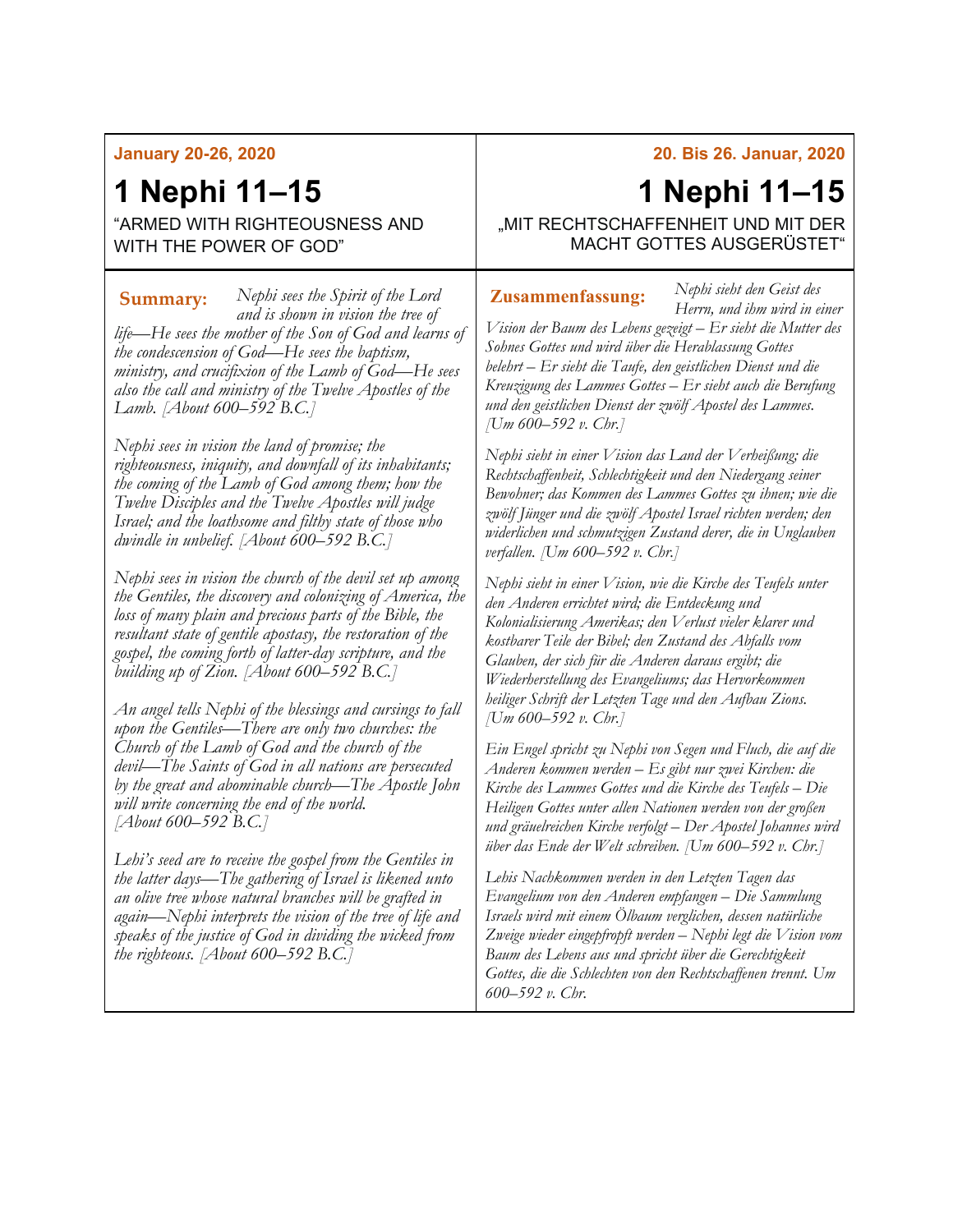#### **January 20-26, 2020**

## **1 Nephi 11–15**

"ARMED WITH RIGHTEOUSNESS AND WITH THE POWER OF GOD"

*Nephi sees the Spirit of the Lord*  **Summary: Zusammenfassung:***and is shown in vision the tree of life—He sees the mother of the Son of God and learns of the condescension of God—He sees the baptism, ministry, and crucifixion of the Lamb of God—He sees also the call and ministry of the Twelve Apostles of the Lamb. [About 600–592 B.C.]*

*Nephi sees in vision the land of promise; the righteousness, iniquity, and downfall of its inhabitants; the coming of the Lamb of God among them; how the Twelve Disciples and the Twelve Apostles will judge Israel; and the loathsome and filthy state of those who dwindle in unbelief. [About 600–592 B.C.]*

*Nephi sees in vision the church of the devil set up among the Gentiles, the discovery and colonizing of America, the loss of many plain and precious parts of the Bible, the resultant state of gentile apostasy, the restoration of the gospel, the coming forth of latter-day scripture, and the building up of Zion. [About 600–592 B.C.]*

*An angel tells Nephi of the blessings and cursings to fall upon the Gentiles—There are only two churches: the Church of the Lamb of God and the church of the devil—The Saints of God in all nations are persecuted by the great and abominable church—The Apostle John will write concerning the end of the world. [About 600–592 B.C.]*

*Lehi's seed are to receive the gospel from the Gentiles in the latter days—The gathering of Israel is likened unto an olive tree whose natural branches will be grafted in again—Nephi interprets the vision of the tree of life and speaks of the justice of God in dividing the wicked from the righteous. [About 600–592 B.C.]*

#### **20. Bis 26. Januar, 2020**

# **1 Nephi 11–15**

*Nephi sieht den Geist des* 

"MIT RECHTSCHAFFENHEIT UND MIT DER MACHT GOTTES AUSGERÜSTET"

*Herrn, und ihm wird in einer Vision der Baum des Lebens gezeigt – Er sieht die Mutter des Sohnes Gottes und wird über die Herablassung Gottes belehrt – Er sieht die Taufe, den geistlichen Dienst und die* 

*Kreuzigung des Lammes Gottes – Er sieht auch die Berufung und den geistlichen Dienst der zwölf Apostel des Lammes. [Um 600–592 v. Chr.]*

*Nephi sieht in einer Vision das Land der Verheißung; die Rechtschaffenheit, Schlechtigkeit und den Niedergang seiner Bewohner; das Kommen des Lammes Gottes zu ihnen; wie die zwölf Jünger und die zwölf Apostel Israel richten werden; den widerlichen und schmutzigen Zustand derer, die in Unglauben verfallen. [Um 600–592 v. Chr.]*

*Nephi sieht in einer Vision, wie die Kirche des Teufels unter den Anderen errichtet wird; die Entdeckung und Kolonialisierung Amerikas; den Verlust vieler klarer und kostbarer Teile der Bibel; den Zustand des Abfalls vom Glauben, der sich für die Anderen daraus ergibt; die Wiederherstellung des Evangeliums; das Hervorkommen heiliger Schrift der Letzten Tage und den Aufbau Zions. [Um 600–592 v. Chr.]*

*Ein Engel spricht zu Nephi von Segen und Fluch, die auf die Anderen kommen werden – Es gibt nur zwei Kirchen: die Kirche des Lammes Gottes und die Kirche des Teufels – Die Heiligen Gottes unter allen Nationen werden von der großen und gräuelreichen Kirche verfolgt – Der Apostel Johannes wird über das Ende der Welt schreiben. [Um 600–592 v. Chr.]*

*Lehis Nachkommen werden in den Letzten Tagen das Evangelium von den Anderen empfangen – Die Sammlung Israels wird mit einem Ölbaum verglichen, dessen natürliche Zweige wieder eingepfropft werden – Nephi legt die Vision vom Baum des Lebens aus und spricht über die Gerechtigkeit Gottes, die die Schlechten von den Rechtschaffenen trennt. Um 600–592 v. Chr.*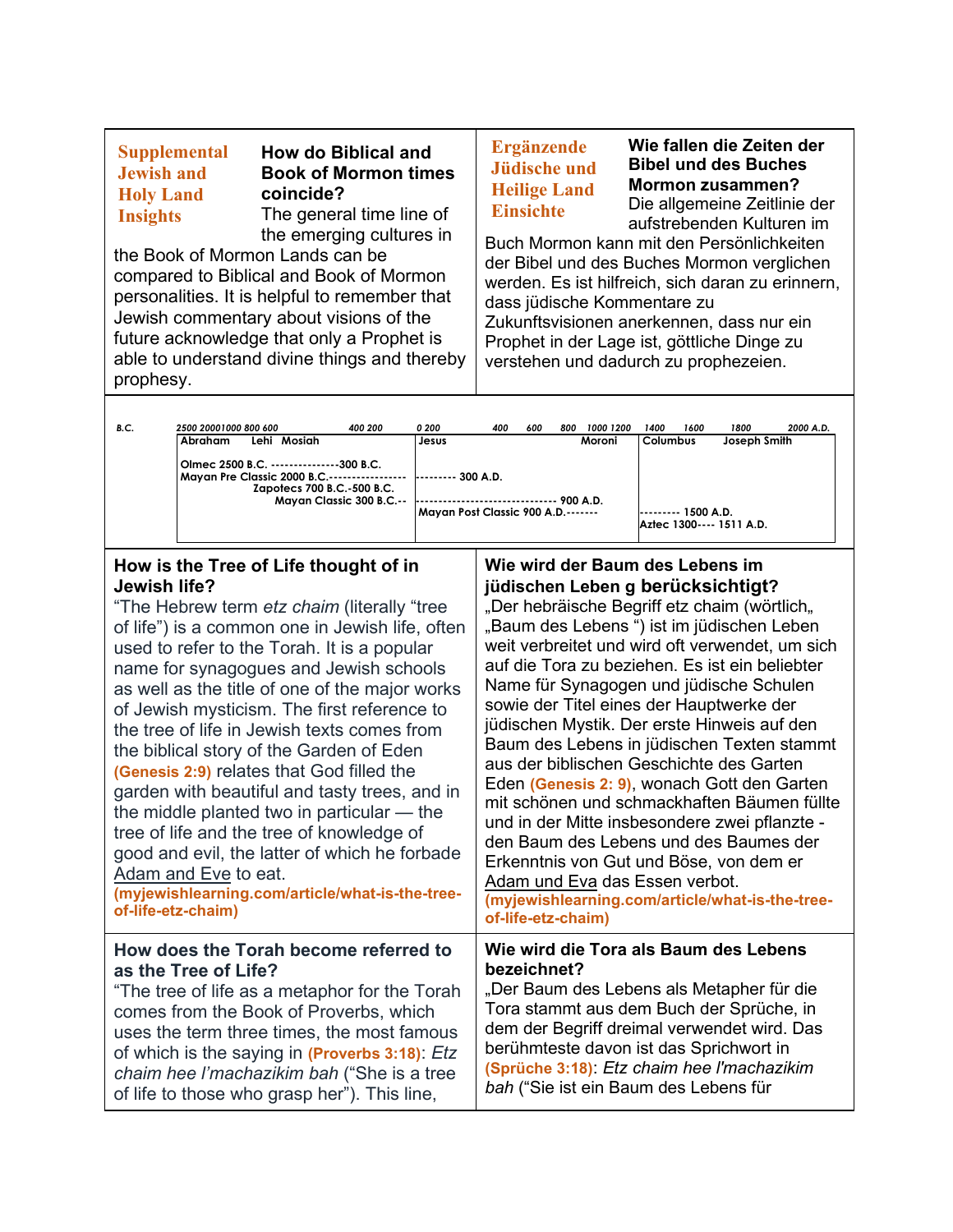| <b>B.C.</b> | 2500 20001000 800 600                                                                                                                        | 400 200 | 0 200                              | 400 | 600 | 800 | 1000 1200                                          | 1400            | 1600 | 1800         | 2000 A.D. |
|-------------|----------------------------------------------------------------------------------------------------------------------------------------------|---------|------------------------------------|-----|-----|-----|----------------------------------------------------|-----------------|------|--------------|-----------|
|             | Lehi Mosiah<br>Abraham                                                                                                                       |         | Jesus                              |     |     |     | Moroni                                             | <b>Columbus</b> |      | Joseph Smith |           |
|             | Olmec 2500 B.C. --------------300 B.C.<br>Mayan Pre Classic 2000 B.C.-------------<br>Zapotecs 700 B.C.-500 B.C.<br>Mayan Classic 300 B.C.-- |         | $-300$ A.D.<br>900 A.D.            |     |     |     |                                                    |                 |      |              |           |
|             |                                                                                                                                              |         | Mayan Post Classic 900 A.D.------- |     |     |     | 1500 A.D.<br>---------<br>Aztec 1300---- 1511 A.D. |                 |      |              |           |

### **How is the Tree of Life thought of in Jewish life?**

"The Hebrew term *etz chaim* (literally "tree of life") is a common one in Jewish life, often used to refer to the Torah. It is a popular name for synagogues and Jewish schools as well as the title of one of the major works of Jewish mysticism. The first reference to the tree of life in Jewish texts comes from the biblical story of the Garden of Eden **(Genesis 2:9)** relates that God filled the garden with beautiful and tasty trees, and in the middle planted two in particular — the tree of life and the tree of knowledge of good and evil, the latter of which he forbade [Adam and Eve](https://www.myjewishlearning.com/article/adam-and-eve/) to eat. **(myjewishlearning.com/article/what-is-the-treeof-life-etz-chaim) How does the Torah become referred to as the Tree of Life?** "The tree of life as a metaphor for the Torah comes from the Book of Proverbs, which uses the term three times, the most famous

of which is the saying in **(Proverbs 3:18)**: *Etz chaim hee l'machazikim bah* ("She is a tree of life to those who grasp her"). This line,

## **Wie wird der Baum des Lebens im jüdischen Leben g berücksichtigt?**

"Der hebräische Begriff etz chaim (wörtlich, "Baum des Lebens") ist im jüdischen Leben weit verbreitet und wird oft verwendet, um sich auf die Tora zu beziehen. Es ist ein beliebter Name für Synagogen und jüdische Schulen sowie der Titel eines der Hauptwerke der jüdischen Mystik. Der erste Hinweis auf den Baum des Lebens in jüdischen Texten stammt aus der biblischen Geschichte des Garten Eden **(Genesis 2: 9)**, wonach Gott den Garten mit schönen und schmackhaften Bäumen füllte und in der Mitte insbesondere zwei pflanzte den Baum des Lebens und des Baumes der Erkenntnis von Gut und Böse, von dem er Adam und Eva das Essen verbot. **(myjewishlearning.com/article/what-is-the-treeof-life-etz-chaim)**

#### **Wie wird die Tora als Baum des Lebens bezeichnet?**

"Der Baum des Lebens als Metapher für die Tora stammt aus dem Buch der Sprüche, in dem der Begriff dreimal verwendet wird. Das berühmteste davon ist das Sprichwort in **(Sprüche 3:18)**: *Etz chaim hee l'machazikim bah* ("Sie ist ein Baum des Lebens für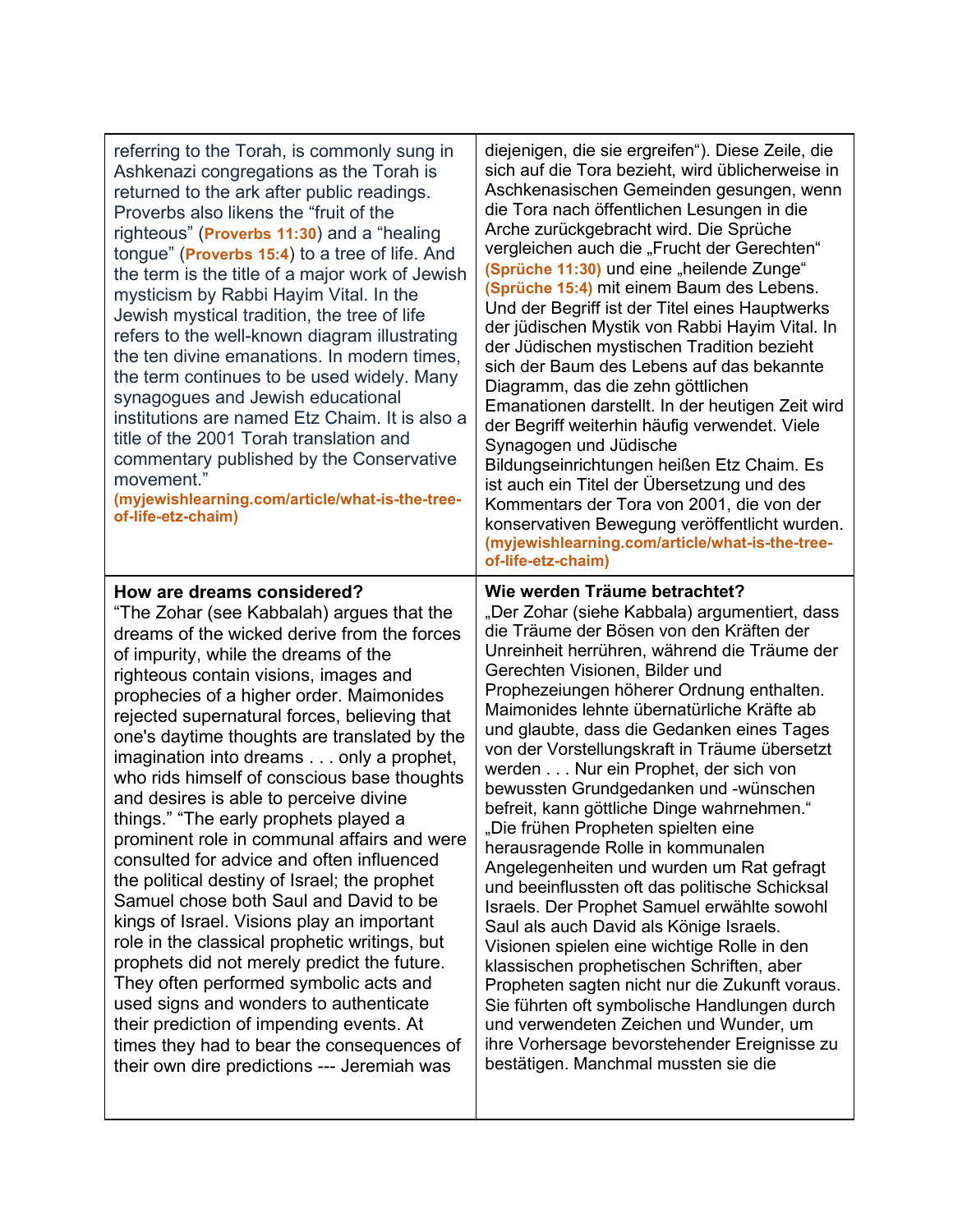| referring to the Torah, is commonly sung in<br>Ashkenazi congregations as the Torah is<br>returned to the ark after public readings.<br>Proverbs also likens the "fruit of the<br>righteous" (Proverbs 11:30) and a "healing<br>tongue" ( <b>Proverbs 15:4</b> ) to a tree of life. And<br>the term is the title of a major work of Jewish<br>mysticism by Rabbi Hayim Vital. In the<br>Jewish mystical tradition, the tree of life<br>refers to the well-known diagram illustrating<br>the ten divine emanations. In modern times,<br>the term continues to be used widely. Many<br>synagogues and Jewish educational<br>institutions are named Etz Chaim. It is also a<br>title of the 2001 Torah translation and<br>commentary published by the Conservative<br>movement."<br>(myjewishlearning.com/article/what-is-the-tree-<br>of-life-etz-chaim)                                                                                                                                                                                                                                            | diejenigen, die sie ergreifen"). Diese Zeile, die<br>sich auf die Tora bezieht, wird üblicherweise in<br>Aschkenasischen Gemeinden gesungen, wenn<br>die Tora nach öffentlichen Lesungen in die<br>Arche zurückgebracht wird. Die Sprüche<br>vergleichen auch die "Frucht der Gerechten"<br>(Sprüche 11:30) und eine "heilende Zunge"<br>(Sprüche 15:4) mit einem Baum des Lebens.<br>Und der Begriff ist der Titel eines Hauptwerks<br>der jüdischen Mystik von Rabbi Hayim Vital. In<br>der Jüdischen mystischen Tradition bezieht<br>sich der Baum des Lebens auf das bekannte<br>Diagramm, das die zehn göttlichen<br>Emanationen darstellt. In der heutigen Zeit wird<br>der Begriff weiterhin häufig verwendet. Viele<br>Synagogen und Jüdische<br>Bildungseinrichtungen heißen Etz Chaim. Es<br>ist auch ein Titel der Übersetzung und des<br>Kommentars der Tora von 2001, die von der<br>konservativen Bewegung veröffentlicht wurden.<br>(myjewishlearning.com/article/what-is-the-tree-<br>of-life-etz-chaim)                                                                                                                   |
|---------------------------------------------------------------------------------------------------------------------------------------------------------------------------------------------------------------------------------------------------------------------------------------------------------------------------------------------------------------------------------------------------------------------------------------------------------------------------------------------------------------------------------------------------------------------------------------------------------------------------------------------------------------------------------------------------------------------------------------------------------------------------------------------------------------------------------------------------------------------------------------------------------------------------------------------------------------------------------------------------------------------------------------------------------------------------------------------------|--------------------------------------------------------------------------------------------------------------------------------------------------------------------------------------------------------------------------------------------------------------------------------------------------------------------------------------------------------------------------------------------------------------------------------------------------------------------------------------------------------------------------------------------------------------------------------------------------------------------------------------------------------------------------------------------------------------------------------------------------------------------------------------------------------------------------------------------------------------------------------------------------------------------------------------------------------------------------------------------------------------------------------------------------------------------------------------------------------------------------------------------|
| How are dreams considered?<br>"The Zohar (see Kabbalah) argues that the<br>dreams of the wicked derive from the forces<br>of impurity, while the dreams of the<br>righteous contain visions, images and<br>prophecies of a higher order. Maimonides<br>rejected supernatural forces, believing that<br>one's daytime thoughts are translated by the<br>imagination into dreams only a prophet,<br>who rids himself of conscious base thoughts<br>and desires is able to perceive divine<br>things." "The early prophets played a<br>prominent role in communal affairs and were<br>consulted for advice and often influenced<br>the political destiny of Israel; the prophet<br>Samuel chose both Saul and David to be<br>kings of Israel. Visions play an important<br>role in the classical prophetic writings, but<br>prophets did not merely predict the future.<br>They often performed symbolic acts and<br>used signs and wonders to authenticate<br>their prediction of impending events. At<br>times they had to bear the consequences of<br>their own dire predictions --- Jeremiah was | Wie werden Träume betrachtet?<br>"Der Zohar (siehe Kabbala) argumentiert, dass<br>die Träume der Bösen von den Kräften der<br>Unreinheit herrühren, während die Träume der<br>Gerechten Visionen, Bilder und<br>Prophezeiungen höherer Ordnung enthalten.<br>Maimonides lehnte übernatürliche Kräfte ab<br>und glaubte, dass die Gedanken eines Tages<br>von der Vorstellungskraft in Träume übersetzt<br>werden Nur ein Prophet, der sich von<br>bewussten Grundgedanken und -wünschen<br>befreit, kann göttliche Dinge wahrnehmen."<br>"Die frühen Propheten spielten eine<br>herausragende Rolle in kommunalen<br>Angelegenheiten und wurden um Rat gefragt<br>und beeinflussten oft das politische Schicksal<br>Israels. Der Prophet Samuel erwählte sowohl<br>Saul als auch David als Könige Israels.<br>Visionen spielen eine wichtige Rolle in den<br>klassischen prophetischen Schriften, aber<br>Propheten sagten nicht nur die Zukunft voraus.<br>Sie führten oft symbolische Handlungen durch<br>und verwendeten Zeichen und Wunder, um<br>ihre Vorhersage bevorstehender Ereignisse zu<br>bestätigen. Manchmal mussten sie die |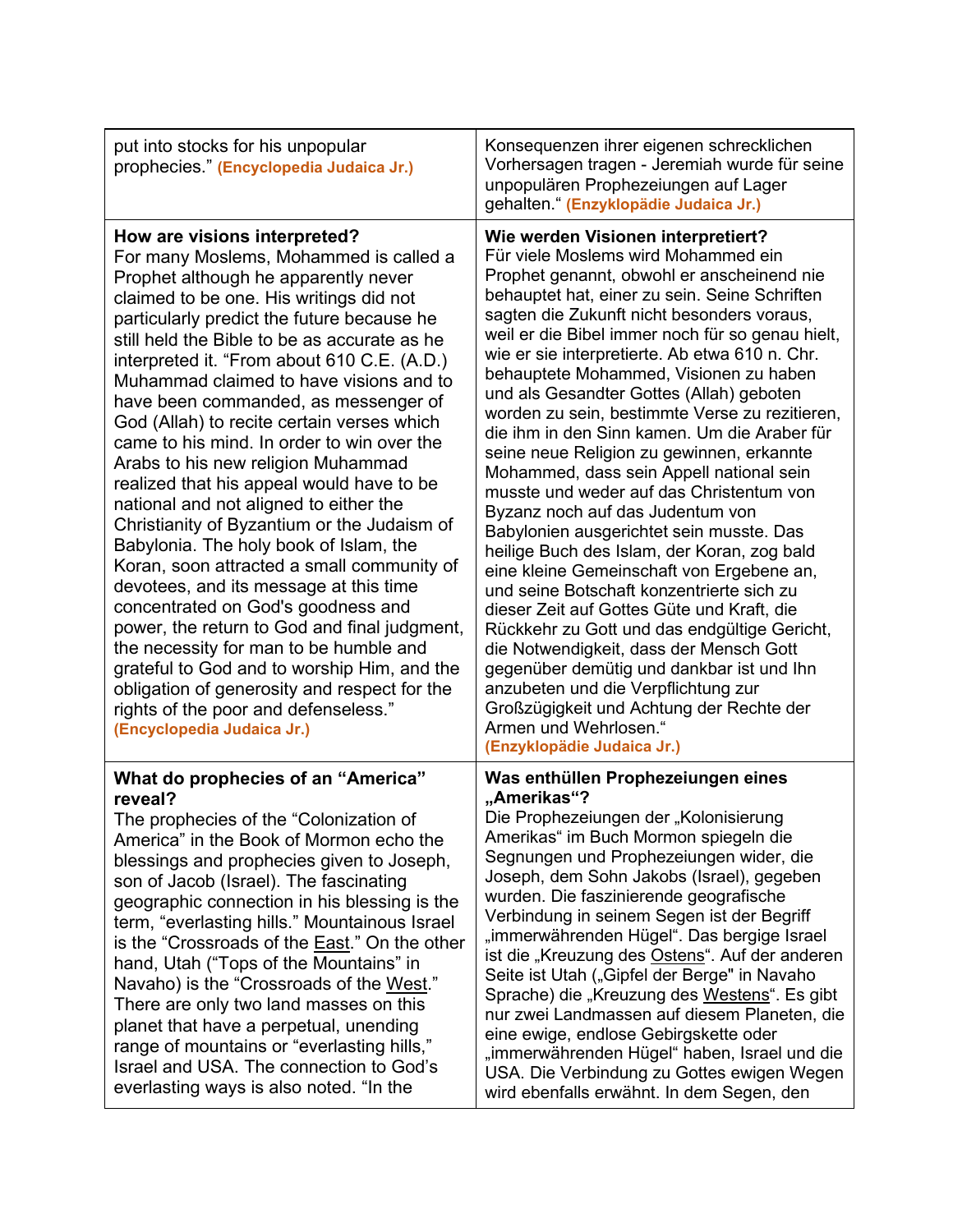| put into stocks for his unpopular<br>prophecies " (Encyclopedia Judaica Jr.)                                                                                                                                                                                                                                                                                                                                                                                                                                                                                                                                                                                                                                                                                                                                                                                                                                                                                                                                                                                                                             | Konsequenzen ihrer eigenen schrecklichen<br>Vorhersagen tragen - Jeremiah wurde für seine<br>unpopulären Prophezeiungen auf Lager<br>gehalten." (Enzyklopädie Judaica Jr.)                                                                                                                                                                                                                                                                                                                                                                                                                                                                                                                                                                                                                                                                                                                                                                                                                                                                                                                                                                                                                                         |
|----------------------------------------------------------------------------------------------------------------------------------------------------------------------------------------------------------------------------------------------------------------------------------------------------------------------------------------------------------------------------------------------------------------------------------------------------------------------------------------------------------------------------------------------------------------------------------------------------------------------------------------------------------------------------------------------------------------------------------------------------------------------------------------------------------------------------------------------------------------------------------------------------------------------------------------------------------------------------------------------------------------------------------------------------------------------------------------------------------|--------------------------------------------------------------------------------------------------------------------------------------------------------------------------------------------------------------------------------------------------------------------------------------------------------------------------------------------------------------------------------------------------------------------------------------------------------------------------------------------------------------------------------------------------------------------------------------------------------------------------------------------------------------------------------------------------------------------------------------------------------------------------------------------------------------------------------------------------------------------------------------------------------------------------------------------------------------------------------------------------------------------------------------------------------------------------------------------------------------------------------------------------------------------------------------------------------------------|
| How are visions interpreted?<br>For many Moslems, Mohammed is called a<br>Prophet although he apparently never<br>claimed to be one. His writings did not<br>particularly predict the future because he<br>still held the Bible to be as accurate as he<br>interpreted it. "From about 610 C.E. (A.D.)<br>Muhammad claimed to have visions and to<br>have been commanded, as messenger of<br>God (Allah) to recite certain verses which<br>came to his mind. In order to win over the<br>Arabs to his new religion Muhammad<br>realized that his appeal would have to be<br>national and not aligned to either the<br>Christianity of Byzantium or the Judaism of<br>Babylonia. The holy book of Islam, the<br>Koran, soon attracted a small community of<br>devotees, and its message at this time<br>concentrated on God's goodness and<br>power, the return to God and final judgment,<br>the necessity for man to be humble and<br>grateful to God and to worship Him, and the<br>obligation of generosity and respect for the<br>rights of the poor and defenseless."<br>(Encyclopedia Judaica Jr.) | Wie werden Visionen interpretiert?<br>Für viele Moslems wird Mohammed ein<br>Prophet genannt, obwohl er anscheinend nie<br>behauptet hat, einer zu sein. Seine Schriften<br>sagten die Zukunft nicht besonders voraus,<br>weil er die Bibel immer noch für so genau hielt,<br>wie er sie interpretierte. Ab etwa 610 n. Chr.<br>behauptete Mohammed, Visionen zu haben<br>und als Gesandter Gottes (Allah) geboten<br>worden zu sein, bestimmte Verse zu rezitieren,<br>die ihm in den Sinn kamen. Um die Araber für<br>seine neue Religion zu gewinnen, erkannte<br>Mohammed, dass sein Appell national sein<br>musste und weder auf das Christentum von<br>Byzanz noch auf das Judentum von<br>Babylonien ausgerichtet sein musste. Das<br>heilige Buch des Islam, der Koran, zog bald<br>eine kleine Gemeinschaft von Ergebene an,<br>und seine Botschaft konzentrierte sich zu<br>dieser Zeit auf Gottes Güte und Kraft, die<br>Rückkehr zu Gott und das endgültige Gericht,<br>die Notwendigkeit, dass der Mensch Gott<br>gegenüber demütig und dankbar ist und Ihn<br>anzubeten und die Verpflichtung zur<br>Großzügigkeit und Achtung der Rechte der<br>Armen und Wehrlosen."<br>(Enzyklopädie Judaica Jr.) |
| What do prophecies of an "America"<br>reveal?<br>The prophecies of the "Colonization of<br>America" in the Book of Mormon echo the<br>blessings and prophecies given to Joseph,<br>son of Jacob (Israel). The fascinating<br>geographic connection in his blessing is the<br>term, "everlasting hills." Mountainous Israel<br>is the "Crossroads of the <b>East.</b> " On the other<br>hand, Utah ("Tops of the Mountains" in<br>Navaho) is the "Crossroads of the West."<br>There are only two land masses on this<br>planet that have a perpetual, unending<br>range of mountains or "everlasting hills,"<br>Israel and USA. The connection to God's<br>everlasting ways is also noted. "In the                                                                                                                                                                                                                                                                                                                                                                                                        | Was enthüllen Prophezeiungen eines<br>"Amerikas"?<br>Die Prophezeiungen der "Kolonisierung<br>Amerikas" im Buch Mormon spiegeln die<br>Segnungen und Prophezeiungen wider, die<br>Joseph, dem Sohn Jakobs (Israel), gegeben<br>wurden. Die faszinierende geografische<br>Verbindung in seinem Segen ist der Begriff<br>"immerwährenden Hügel". Das bergige Israel<br>ist die "Kreuzung des Ostens". Auf der anderen<br>Seite ist Utah ("Gipfel der Berge" in Navaho<br>Sprache) die "Kreuzung des Westens". Es gibt<br>nur zwei Landmassen auf diesem Planeten, die<br>eine ewige, endlose Gebirgskette oder<br>"immerwährenden Hügel" haben, Israel und die<br>USA. Die Verbindung zu Gottes ewigen Wegen<br>wird ebenfalls erwähnt. In dem Segen, den                                                                                                                                                                                                                                                                                                                                                                                                                                                            |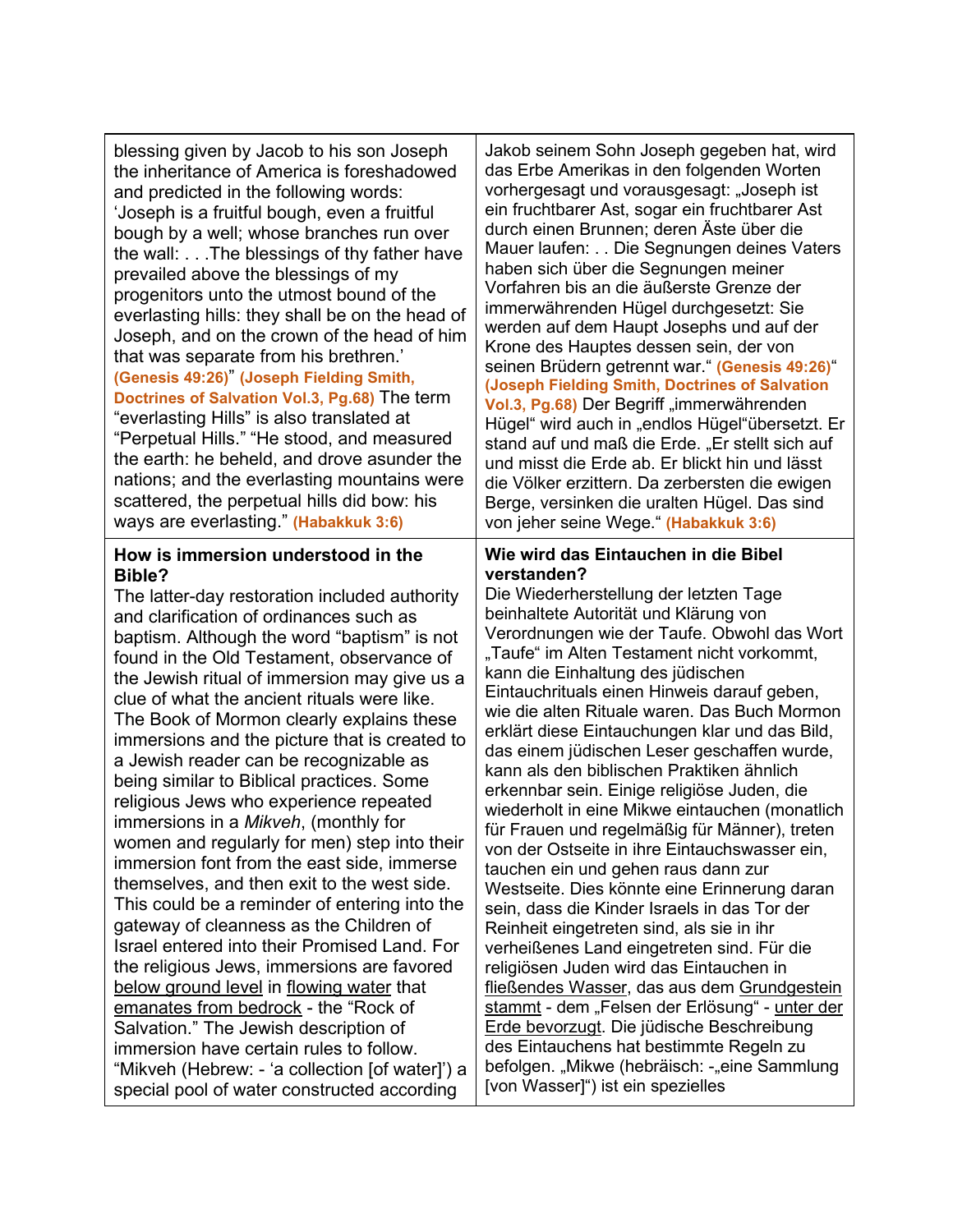blessing given by Jacob to his son Joseph the inheritance of America is foreshadowed and predicted in the following words: 'Joseph is a fruitful bough, even a fruitful bough by a well; whose branches run over the wall: . . .The blessings of thy father have prevailed above the blessings of my progenitors unto the utmost bound of the everlasting hills: they shall be on the head of Joseph, and on the crown of the head of him that was separate from his brethren.' **(Genesis 49:26)**" **(Joseph Fielding Smith, Doctrines of Salvation Vol.3, Pg.68)** The term "everlasting Hills" is also translated at "Perpetual Hills." "He stood, and measured the earth: he beheld, and drove asunder the nations; and the everlasting mountains were scattered, the perpetual hills did bow: his ways are everlasting." **(Habakkuk 3:6)**

#### **How is immersion understood in the Bible?**

The latter-day restoration included authority and clarification of ordinances such as baptism. Although the word "baptism" is not found in the Old Testament, observance of the Jewish ritual of immersion may give us a clue of what the ancient rituals were like. The Book of Mormon clearly explains these immersions and the picture that is created to a Jewish reader can be recognizable as being similar to Biblical practices. Some religious Jews who experience repeated immersions in a *Mikveh*, (monthly for women and regularly for men) step into their immersion font from the east side, immerse themselves, and then exit to the west side. This could be a reminder of entering into the gateway of cleanness as the Children of Israel entered into their Promised Land. For the religious Jews, immersions are favored below ground level in flowing water that emanates from bedrock - the "Rock of Salvation." The Jewish description of immersion have certain rules to follow. "Mikveh (Hebrew: - 'a collection [of water]') a special pool of water constructed according

Jakob seinem Sohn Joseph gegeben hat, wird das Erbe Amerikas in den folgenden Worten vorhergesagt und vorausgesagt: "Joseph ist ein fruchtbarer Ast, sogar ein fruchtbarer Ast durch einen Brunnen; deren Äste über die Mauer laufen: . . Die Segnungen deines Vaters haben sich über die Segnungen meiner Vorfahren bis an die äußerste Grenze der immerwährenden Hügel durchgesetzt: Sie werden auf dem Haupt Josephs und auf der Krone des Hauptes dessen sein, der von seinen Brüdern getrennt war." **(Genesis 49:26)**" **(Joseph Fielding Smith, Doctrines of Salvation**  Vol.3, Pg.68) Der Begriff "immerwährenden Hügel" wird auch in "endlos Hügel"übersetzt. Er stand auf und maß die Erde. "Er stellt sich auf und misst die Erde ab. Er blickt hin und lässt die Völker erzittern. Da zerbersten die ewigen Berge, versinken die uralten Hügel. Das sind von jeher seine Wege." **(Habakkuk 3:6)**

#### **Wie wird das Eintauchen in die Bibel verstanden?**

Die Wiederherstellung der letzten Tage beinhaltete Autorität und Klärung von Verordnungen wie der Taufe. Obwohl das Wort "Taufe" im Alten Testament nicht vorkommt, kann die Einhaltung des jüdischen Eintauchrituals einen Hinweis darauf geben, wie die alten Rituale waren. Das Buch Mormon erklärt diese Eintauchungen klar und das Bild, das einem jüdischen Leser geschaffen wurde, kann als den biblischen Praktiken ähnlich erkennbar sein. Einige religiöse Juden, die wiederholt in eine Mikwe eintauchen (monatlich für Frauen und regelmäßig für Männer), treten von der Ostseite in ihre Eintauchswasser ein, tauchen ein und gehen raus dann zur Westseite. Dies könnte eine Erinnerung daran sein, dass die Kinder Israels in das Tor der Reinheit eingetreten sind, als sie in ihr verheißenes Land eingetreten sind. Für die religiösen Juden wird das Eintauchen in fließendes Wasser, das aus dem Grundgestein stammt - dem "Felsen der Erlösung" - unter der Erde bevorzugt. Die jüdische Beschreibung des Eintauchens hat bestimmte Regeln zu befolgen. "Mikwe (hebräisch: -"eine Sammlung [von Wasser]") ist ein spezielles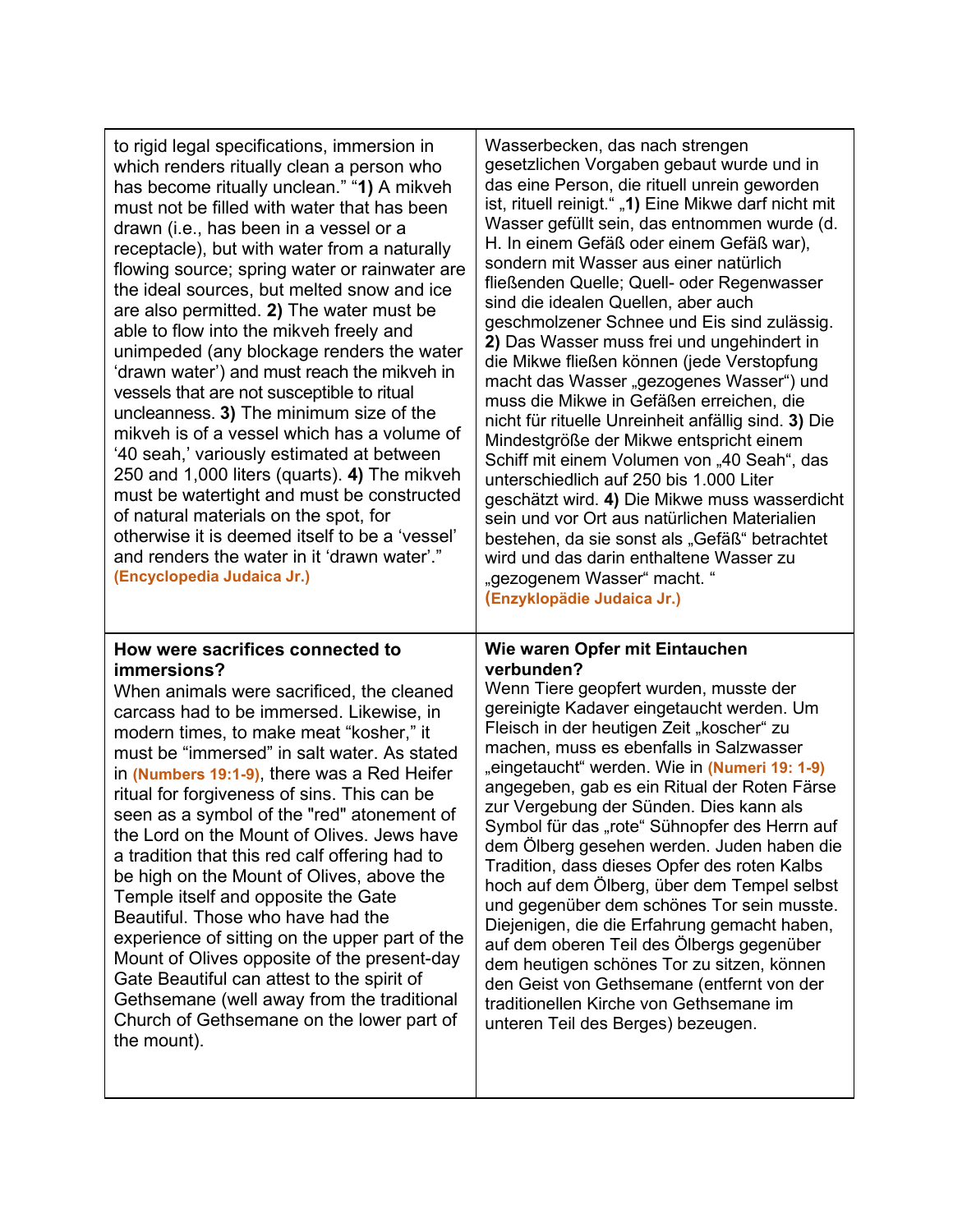| to rigid legal specifications, immersion in<br>which renders ritually clean a person who<br>has become ritually unclean." "1) A mikveh<br>must not be filled with water that has been<br>drawn (i.e., has been in a vessel or a<br>receptacle), but with water from a naturally<br>flowing source; spring water or rainwater are<br>the ideal sources, but melted snow and ice<br>are also permitted. 2) The water must be<br>able to flow into the mikveh freely and<br>unimpeded (any blockage renders the water<br>'drawn water') and must reach the mikveh in<br>vessels that are not susceptible to ritual<br>uncleanness. 3) The minimum size of the<br>mikveh is of a vessel which has a volume of<br>'40 seah,' variously estimated at between<br>250 and 1,000 liters (quarts). 4) The mikveh<br>must be watertight and must be constructed<br>of natural materials on the spot, for<br>otherwise it is deemed itself to be a 'vessel'<br>and renders the water in it 'drawn water'."<br>(Encyclopedia Judaica Jr.) | Wasserbecken, das nach strengen<br>gesetzlichen Vorgaben gebaut wurde und in<br>das eine Person, die rituell unrein geworden<br>ist, rituell reinigt." "1) Eine Mikwe darf nicht mit<br>Wasser gefüllt sein, das entnommen wurde (d.<br>H. In einem Gefäß oder einem Gefäß war),<br>sondern mit Wasser aus einer natürlich<br>fließenden Quelle; Quell- oder Regenwasser<br>sind die idealen Quellen, aber auch<br>geschmolzener Schnee und Eis sind zulässig.<br>2) Das Wasser muss frei und ungehindert in<br>die Mikwe fließen können (jede Verstopfung<br>macht das Wasser "gezogenes Wasser") und<br>muss die Mikwe in Gefäßen erreichen, die<br>nicht für rituelle Unreinheit anfällig sind. 3) Die<br>Mindestgröße der Mikwe entspricht einem<br>Schiff mit einem Volumen von "40 Seah", das<br>unterschiedlich auf 250 bis 1.000 Liter<br>geschätzt wird. 4) Die Mikwe muss wasserdicht<br>sein und vor Ort aus natürlichen Materialien<br>bestehen, da sie sonst als "Gefäß" betrachtet<br>wird und das darin enthaltene Wasser zu<br>"gezogenem Wasser" macht. "<br>(Enzyklopädie Judaica Jr.) |
|------------------------------------------------------------------------------------------------------------------------------------------------------------------------------------------------------------------------------------------------------------------------------------------------------------------------------------------------------------------------------------------------------------------------------------------------------------------------------------------------------------------------------------------------------------------------------------------------------------------------------------------------------------------------------------------------------------------------------------------------------------------------------------------------------------------------------------------------------------------------------------------------------------------------------------------------------------------------------------------------------------------------------|----------------------------------------------------------------------------------------------------------------------------------------------------------------------------------------------------------------------------------------------------------------------------------------------------------------------------------------------------------------------------------------------------------------------------------------------------------------------------------------------------------------------------------------------------------------------------------------------------------------------------------------------------------------------------------------------------------------------------------------------------------------------------------------------------------------------------------------------------------------------------------------------------------------------------------------------------------------------------------------------------------------------------------------------------------------------------------------------------------|
| How were sacrifices connected to                                                                                                                                                                                                                                                                                                                                                                                                                                                                                                                                                                                                                                                                                                                                                                                                                                                                                                                                                                                             | Wie waren Opfer mit Eintauchen                                                                                                                                                                                                                                                                                                                                                                                                                                                                                                                                                                                                                                                                                                                                                                                                                                                                                                                                                                                                                                                                           |
| immersions?                                                                                                                                                                                                                                                                                                                                                                                                                                                                                                                                                                                                                                                                                                                                                                                                                                                                                                                                                                                                                  | verbunden?                                                                                                                                                                                                                                                                                                                                                                                                                                                                                                                                                                                                                                                                                                                                                                                                                                                                                                                                                                                                                                                                                               |
| When animals were sacrificed, the cleaned                                                                                                                                                                                                                                                                                                                                                                                                                                                                                                                                                                                                                                                                                                                                                                                                                                                                                                                                                                                    | Wenn Tiere geopfert wurden, musste der                                                                                                                                                                                                                                                                                                                                                                                                                                                                                                                                                                                                                                                                                                                                                                                                                                                                                                                                                                                                                                                                   |
| carcass had to be immersed. Likewise, in                                                                                                                                                                                                                                                                                                                                                                                                                                                                                                                                                                                                                                                                                                                                                                                                                                                                                                                                                                                     | gereinigte Kadaver eingetaucht werden. Um                                                                                                                                                                                                                                                                                                                                                                                                                                                                                                                                                                                                                                                                                                                                                                                                                                                                                                                                                                                                                                                                |
| modern times, to make meat "kosher," it                                                                                                                                                                                                                                                                                                                                                                                                                                                                                                                                                                                                                                                                                                                                                                                                                                                                                                                                                                                      | Fleisch in der heutigen Zeit "koscher" zu                                                                                                                                                                                                                                                                                                                                                                                                                                                                                                                                                                                                                                                                                                                                                                                                                                                                                                                                                                                                                                                                |
| must be "immersed" in salt water. As stated                                                                                                                                                                                                                                                                                                                                                                                                                                                                                                                                                                                                                                                                                                                                                                                                                                                                                                                                                                                  | machen, muss es ebenfalls in Salzwasser                                                                                                                                                                                                                                                                                                                                                                                                                                                                                                                                                                                                                                                                                                                                                                                                                                                                                                                                                                                                                                                                  |
| in (Numbers 19:1-9), there was a Red Heifer                                                                                                                                                                                                                                                                                                                                                                                                                                                                                                                                                                                                                                                                                                                                                                                                                                                                                                                                                                                  | "eingetaucht" werden. Wie in (Numeri 19: 1-9)                                                                                                                                                                                                                                                                                                                                                                                                                                                                                                                                                                                                                                                                                                                                                                                                                                                                                                                                                                                                                                                            |
| ritual for forgiveness of sins. This can be                                                                                                                                                                                                                                                                                                                                                                                                                                                                                                                                                                                                                                                                                                                                                                                                                                                                                                                                                                                  | angegeben, gab es ein Ritual der Roten Färse                                                                                                                                                                                                                                                                                                                                                                                                                                                                                                                                                                                                                                                                                                                                                                                                                                                                                                                                                                                                                                                             |
| seen as a symbol of the "red" atonement of                                                                                                                                                                                                                                                                                                                                                                                                                                                                                                                                                                                                                                                                                                                                                                                                                                                                                                                                                                                   | zur Vergebung der Sünden. Dies kann als                                                                                                                                                                                                                                                                                                                                                                                                                                                                                                                                                                                                                                                                                                                                                                                                                                                                                                                                                                                                                                                                  |
| the Lord on the Mount of Olives. Jews have                                                                                                                                                                                                                                                                                                                                                                                                                                                                                                                                                                                                                                                                                                                                                                                                                                                                                                                                                                                   | Symbol für das "rote" Sühnopfer des Herrn auf                                                                                                                                                                                                                                                                                                                                                                                                                                                                                                                                                                                                                                                                                                                                                                                                                                                                                                                                                                                                                                                            |
| a tradition that this red calf offering had to                                                                                                                                                                                                                                                                                                                                                                                                                                                                                                                                                                                                                                                                                                                                                                                                                                                                                                                                                                               | dem Ölberg gesehen werden. Juden haben die                                                                                                                                                                                                                                                                                                                                                                                                                                                                                                                                                                                                                                                                                                                                                                                                                                                                                                                                                                                                                                                               |
| be high on the Mount of Olives, above the                                                                                                                                                                                                                                                                                                                                                                                                                                                                                                                                                                                                                                                                                                                                                                                                                                                                                                                                                                                    | Tradition, dass dieses Opfer des roten Kalbs                                                                                                                                                                                                                                                                                                                                                                                                                                                                                                                                                                                                                                                                                                                                                                                                                                                                                                                                                                                                                                                             |
| Temple itself and opposite the Gate                                                                                                                                                                                                                                                                                                                                                                                                                                                                                                                                                                                                                                                                                                                                                                                                                                                                                                                                                                                          | hoch auf dem Ölberg, über dem Tempel selbst                                                                                                                                                                                                                                                                                                                                                                                                                                                                                                                                                                                                                                                                                                                                                                                                                                                                                                                                                                                                                                                              |
| Beautiful. Those who have had the                                                                                                                                                                                                                                                                                                                                                                                                                                                                                                                                                                                                                                                                                                                                                                                                                                                                                                                                                                                            | und gegenüber dem schönes Tor sein musste.                                                                                                                                                                                                                                                                                                                                                                                                                                                                                                                                                                                                                                                                                                                                                                                                                                                                                                                                                                                                                                                               |
| experience of sitting on the upper part of the                                                                                                                                                                                                                                                                                                                                                                                                                                                                                                                                                                                                                                                                                                                                                                                                                                                                                                                                                                               | Diejenigen, die die Erfahrung gemacht haben,                                                                                                                                                                                                                                                                                                                                                                                                                                                                                                                                                                                                                                                                                                                                                                                                                                                                                                                                                                                                                                                             |
| Mount of Olives opposite of the present-day                                                                                                                                                                                                                                                                                                                                                                                                                                                                                                                                                                                                                                                                                                                                                                                                                                                                                                                                                                                  | auf dem oberen Teil des Ölbergs gegenüber                                                                                                                                                                                                                                                                                                                                                                                                                                                                                                                                                                                                                                                                                                                                                                                                                                                                                                                                                                                                                                                                |
| Gate Beautiful can attest to the spirit of                                                                                                                                                                                                                                                                                                                                                                                                                                                                                                                                                                                                                                                                                                                                                                                                                                                                                                                                                                                   | dem heutigen schönes Tor zu sitzen, können                                                                                                                                                                                                                                                                                                                                                                                                                                                                                                                                                                                                                                                                                                                                                                                                                                                                                                                                                                                                                                                               |
| Gethsemane (well away from the traditional                                                                                                                                                                                                                                                                                                                                                                                                                                                                                                                                                                                                                                                                                                                                                                                                                                                                                                                                                                                   | den Geist von Gethsemane (entfernt von der                                                                                                                                                                                                                                                                                                                                                                                                                                                                                                                                                                                                                                                                                                                                                                                                                                                                                                                                                                                                                                                               |
| Church of Gethsemane on the lower part of                                                                                                                                                                                                                                                                                                                                                                                                                                                                                                                                                                                                                                                                                                                                                                                                                                                                                                                                                                                    | traditionellen Kirche von Gethsemane im                                                                                                                                                                                                                                                                                                                                                                                                                                                                                                                                                                                                                                                                                                                                                                                                                                                                                                                                                                                                                                                                  |
| the mount).                                                                                                                                                                                                                                                                                                                                                                                                                                                                                                                                                                                                                                                                                                                                                                                                                                                                                                                                                                                                                  | unteren Teil des Berges) bezeugen.                                                                                                                                                                                                                                                                                                                                                                                                                                                                                                                                                                                                                                                                                                                                                                                                                                                                                                                                                                                                                                                                       |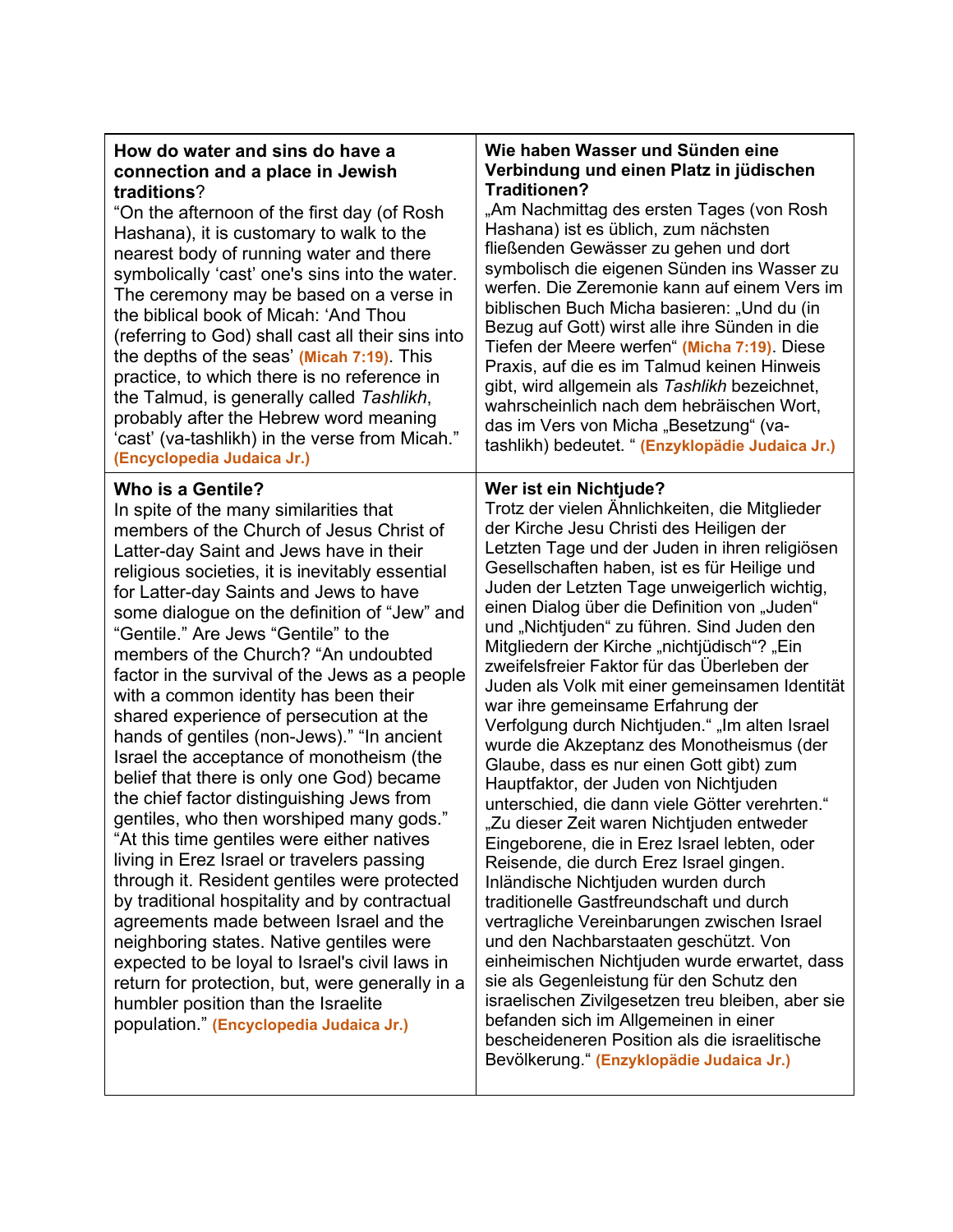| How do water and sins do have a  |  |
|----------------------------------|--|
| connection and a place in Jewish |  |
| traditions?                      |  |

"On the afternoon of the first day (of Rosh Hashana), it is customary to walk to the nearest body of running water and there symbolically 'cast' one's sins into the water. The ceremony may be based on a verse in the biblical book of Micah: 'And Thou (referring to God) shall cast all their sins into the depths of the seas' **(Micah 7:19)**. This practice, to which there is no reference in the Talmud, is generally called *Tashlikh*, probably after the Hebrew word meaning 'cast' (va-tashlikh) in the verse from Micah." **(Encyclopedia Judaica Jr.)**

#### **Who is a Gentile?**

In spite of the many similarities that members of the Church of Jesus Christ of Latter-day Saint and Jews have in their religious societies, it is inevitably essential for Latter-day Saints and Jews to have some dialogue on the definition of "Jew" and "Gentile." Are Jews "Gentile" to the members of the Church? "An undoubted factor in the survival of the Jews as a people with a common identity has been their shared experience of persecution at the hands of gentiles (non-Jews)." "In ancient Israel the acceptance of monotheism (the belief that there is only one God) became the chief factor distinguishing Jews from gentiles, who then worshiped many gods." "At this time gentiles were either natives living in Erez Israel or travelers passing through it. Resident gentiles were protected by traditional hospitality and by contractual agreements made between Israel and the neighboring states. Native gentiles were expected to be loyal to Israel's civil laws in return for protection, but, were generally in a humbler position than the Israelite population." **(Encyclopedia Judaica Jr.)**

#### **Wie haben Wasser und Sünden eine Verbindung und einen Platz in jüdischen Traditionen?**

"Am Nachmittag des ersten Tages (von Rosh Hashana) ist es üblich, zum nächsten fließenden Gewässer zu gehen und dort symbolisch die eigenen Sünden ins Wasser zu werfen. Die Zeremonie kann auf einem Vers im biblischen Buch Micha basieren: "Und du (in Bezug auf Gott) wirst alle ihre Sünden in die Tiefen der Meere werfen" **(Micha 7:19)**. Diese Praxis, auf die es im Talmud keinen Hinweis gibt, wird allgemein als *Tashlikh* bezeichnet, wahrscheinlich nach dem hebräischen Wort, das im Vers von Micha "Besetzung" (vatashlikh) bedeutet. " **(Enzyklopädie Judaica Jr.)**

#### **Wer ist ein Nichtjude?**

Trotz der vielen Ähnlichkeiten, die Mitglieder der Kirche Jesu Christi des Heiligen der Letzten Tage und der Juden in ihren religiösen Gesellschaften haben, ist es für Heilige und Juden der Letzten Tage unweigerlich wichtig, einen Dialog über die Definition von "Juden" und "Nichtjuden" zu führen. Sind Juden den Mitgliedern der Kirche "nichtjüdisch"? "Ein zweifelsfreier Faktor für das Überleben der Juden als Volk mit einer gemeinsamen Identität war ihre gemeinsame Erfahrung der Verfolgung durch Nichtjuden." "Im alten Israel wurde die Akzeptanz des Monotheismus (der Glaube, dass es nur einen Gott gibt) zum Hauptfaktor, der Juden von Nichtjuden unterschied, die dann viele Götter verehrten." "Zu dieser Zeit waren Nichtjuden entweder Eingeborene, die in Erez Israel lebten, oder Reisende, die durch Erez Israel gingen. Inländische Nichtjuden wurden durch traditionelle Gastfreundschaft und durch vertragliche Vereinbarungen zwischen Israel und den Nachbarstaaten geschützt. Von einheimischen Nichtjuden wurde erwartet, dass sie als Gegenleistung für den Schutz den israelischen Zivilgesetzen treu bleiben, aber sie befanden sich im Allgemeinen in einer bescheideneren Position als die israelitische Bevölkerung." **(Enzyklopädie Judaica Jr.)**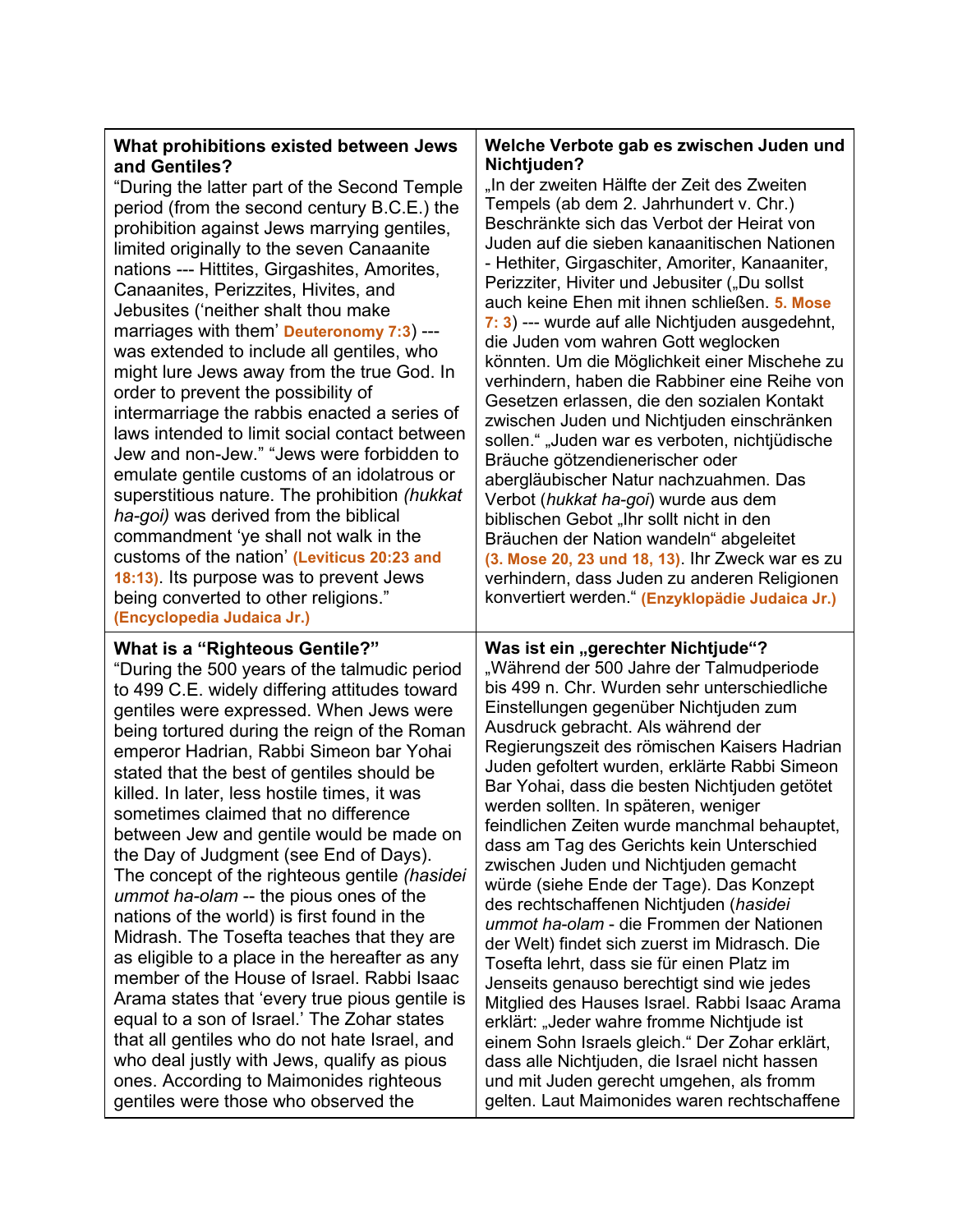| What prohibitions existed between Jews<br>and Gentiles?<br>"During the latter part of the Second Temple<br>period (from the second century B.C.E.) the<br>prohibition against Jews marrying gentiles,<br>limited originally to the seven Canaanite<br>nations --- Hittites, Girgashites, Amorites,<br>Canaanites, Perizzites, Hivites, and<br>Jebusites ('neither shalt thou make<br>marriages with them' Deuteronomy 7:3) ---<br>was extended to include all gentiles, who<br>might lure Jews away from the true God. In<br>order to prevent the possibility of<br>intermarriage the rabbis enacted a series of<br>laws intended to limit social contact between<br>Jew and non-Jew." "Jews were forbidden to<br>emulate gentile customs of an idolatrous or<br>superstitious nature. The prohibition (hukkat<br>ha-goi) was derived from the biblical<br>commandment 'ye shall not walk in the<br>customs of the nation' (Leviticus 20:23 and<br>18:13). Its purpose was to prevent Jews<br>being converted to other religions." | Welche Verbote gab es zwischen Juden und<br>Nichtjuden?<br>"In der zweiten Hälfte der Zeit des Zweiten<br>Tempels (ab dem 2. Jahrhundert v. Chr.)<br>Beschränkte sich das Verbot der Heirat von<br>Juden auf die sieben kanaanitischen Nationen<br>- Hethiter, Girgaschiter, Amoriter, Kanaaniter,<br>Perizziter, Hiviter und Jebusiter ("Du sollst<br>auch keine Ehen mit ihnen schließen. 5. Mose<br>7: 3) --- wurde auf alle Nichtjuden ausgedehnt,<br>die Juden vom wahren Gott weglocken<br>könnten. Um die Möglichkeit einer Mischehe zu<br>verhindern, haben die Rabbiner eine Reihe von<br>Gesetzen erlassen, die den sozialen Kontakt<br>zwischen Juden und Nichtjuden einschränken<br>sollen." "Juden war es verboten, nichtjüdische<br>Bräuche götzendienerischer oder<br>abergläubischer Natur nachzuahmen. Das<br>Verbot (hukkat ha-goi) wurde aus dem<br>biblischen Gebot "Ihr sollt nicht in den<br>Bräuchen der Nation wandeln" abgeleitet<br>(3. Mose 20, 23 und 18, 13). Ihr Zweck war es zu<br>verhindern, dass Juden zu anderen Religionen<br>konvertiert werden." (Enzyklopädie Judaica Jr.) |
|------------------------------------------------------------------------------------------------------------------------------------------------------------------------------------------------------------------------------------------------------------------------------------------------------------------------------------------------------------------------------------------------------------------------------------------------------------------------------------------------------------------------------------------------------------------------------------------------------------------------------------------------------------------------------------------------------------------------------------------------------------------------------------------------------------------------------------------------------------------------------------------------------------------------------------------------------------------------------------------------------------------------------------|-------------------------------------------------------------------------------------------------------------------------------------------------------------------------------------------------------------------------------------------------------------------------------------------------------------------------------------------------------------------------------------------------------------------------------------------------------------------------------------------------------------------------------------------------------------------------------------------------------------------------------------------------------------------------------------------------------------------------------------------------------------------------------------------------------------------------------------------------------------------------------------------------------------------------------------------------------------------------------------------------------------------------------------------------------------------------------------------------------------------|
| (Encyclopedia Judaica Jr.)                                                                                                                                                                                                                                                                                                                                                                                                                                                                                                                                                                                                                                                                                                                                                                                                                                                                                                                                                                                                         | Was ist ein "gerechter Nichtjude"?                                                                                                                                                                                                                                                                                                                                                                                                                                                                                                                                                                                                                                                                                                                                                                                                                                                                                                                                                                                                                                                                                |
| <b>What is a "Righteous Gentile?"</b>                                                                                                                                                                                                                                                                                                                                                                                                                                                                                                                                                                                                                                                                                                                                                                                                                                                                                                                                                                                              | "Während der 500 Jahre der Talmudperiode                                                                                                                                                                                                                                                                                                                                                                                                                                                                                                                                                                                                                                                                                                                                                                                                                                                                                                                                                                                                                                                                          |
| "During the 500 years of the talmudic period                                                                                                                                                                                                                                                                                                                                                                                                                                                                                                                                                                                                                                                                                                                                                                                                                                                                                                                                                                                       | bis 499 n. Chr. Wurden sehr unterschiedliche                                                                                                                                                                                                                                                                                                                                                                                                                                                                                                                                                                                                                                                                                                                                                                                                                                                                                                                                                                                                                                                                      |
| to 499 C.E. widely differing attitudes toward                                                                                                                                                                                                                                                                                                                                                                                                                                                                                                                                                                                                                                                                                                                                                                                                                                                                                                                                                                                      | Einstellungen gegenüber Nichtjuden zum                                                                                                                                                                                                                                                                                                                                                                                                                                                                                                                                                                                                                                                                                                                                                                                                                                                                                                                                                                                                                                                                            |
| gentiles were expressed. When Jews were                                                                                                                                                                                                                                                                                                                                                                                                                                                                                                                                                                                                                                                                                                                                                                                                                                                                                                                                                                                            | Ausdruck gebracht. Als während der                                                                                                                                                                                                                                                                                                                                                                                                                                                                                                                                                                                                                                                                                                                                                                                                                                                                                                                                                                                                                                                                                |
| being tortured during the reign of the Roman                                                                                                                                                                                                                                                                                                                                                                                                                                                                                                                                                                                                                                                                                                                                                                                                                                                                                                                                                                                       | Regierungszeit des römischen Kaisers Hadrian                                                                                                                                                                                                                                                                                                                                                                                                                                                                                                                                                                                                                                                                                                                                                                                                                                                                                                                                                                                                                                                                      |
| emperor Hadrian, Rabbi Simeon bar Yohai                                                                                                                                                                                                                                                                                                                                                                                                                                                                                                                                                                                                                                                                                                                                                                                                                                                                                                                                                                                            | Juden gefoltert wurden, erklärte Rabbi Simeon                                                                                                                                                                                                                                                                                                                                                                                                                                                                                                                                                                                                                                                                                                                                                                                                                                                                                                                                                                                                                                                                     |
| stated that the best of gentiles should be                                                                                                                                                                                                                                                                                                                                                                                                                                                                                                                                                                                                                                                                                                                                                                                                                                                                                                                                                                                         | Bar Yohai, dass die besten Nichtjuden getötet                                                                                                                                                                                                                                                                                                                                                                                                                                                                                                                                                                                                                                                                                                                                                                                                                                                                                                                                                                                                                                                                     |
| killed. In later, less hostile times, it was                                                                                                                                                                                                                                                                                                                                                                                                                                                                                                                                                                                                                                                                                                                                                                                                                                                                                                                                                                                       | werden sollten. In späteren, weniger                                                                                                                                                                                                                                                                                                                                                                                                                                                                                                                                                                                                                                                                                                                                                                                                                                                                                                                                                                                                                                                                              |
| sometimes claimed that no difference                                                                                                                                                                                                                                                                                                                                                                                                                                                                                                                                                                                                                                                                                                                                                                                                                                                                                                                                                                                               | feindlichen Zeiten wurde manchmal behauptet,                                                                                                                                                                                                                                                                                                                                                                                                                                                                                                                                                                                                                                                                                                                                                                                                                                                                                                                                                                                                                                                                      |
| between Jew and gentile would be made on                                                                                                                                                                                                                                                                                                                                                                                                                                                                                                                                                                                                                                                                                                                                                                                                                                                                                                                                                                                           | dass am Tag des Gerichts kein Unterschied                                                                                                                                                                                                                                                                                                                                                                                                                                                                                                                                                                                                                                                                                                                                                                                                                                                                                                                                                                                                                                                                         |
| the Day of Judgment (see End of Days).                                                                                                                                                                                                                                                                                                                                                                                                                                                                                                                                                                                                                                                                                                                                                                                                                                                                                                                                                                                             | zwischen Juden und Nichtjuden gemacht                                                                                                                                                                                                                                                                                                                                                                                                                                                                                                                                                                                                                                                                                                                                                                                                                                                                                                                                                                                                                                                                             |
| The concept of the righteous gentile (hasidei                                                                                                                                                                                                                                                                                                                                                                                                                                                                                                                                                                                                                                                                                                                                                                                                                                                                                                                                                                                      | würde (siehe Ende der Tage). Das Konzept                                                                                                                                                                                                                                                                                                                                                                                                                                                                                                                                                                                                                                                                                                                                                                                                                                                                                                                                                                                                                                                                          |
| ummot ha-olam -- the pious ones of the                                                                                                                                                                                                                                                                                                                                                                                                                                                                                                                                                                                                                                                                                                                                                                                                                                                                                                                                                                                             | des rechtschaffenen Nichtjuden (hasidei                                                                                                                                                                                                                                                                                                                                                                                                                                                                                                                                                                                                                                                                                                                                                                                                                                                                                                                                                                                                                                                                           |
| nations of the world) is first found in the                                                                                                                                                                                                                                                                                                                                                                                                                                                                                                                                                                                                                                                                                                                                                                                                                                                                                                                                                                                        | ummot ha-olam - die Frommen der Nationen                                                                                                                                                                                                                                                                                                                                                                                                                                                                                                                                                                                                                                                                                                                                                                                                                                                                                                                                                                                                                                                                          |
| Midrash. The Tosefta teaches that they are                                                                                                                                                                                                                                                                                                                                                                                                                                                                                                                                                                                                                                                                                                                                                                                                                                                                                                                                                                                         | der Welt) findet sich zuerst im Midrasch. Die                                                                                                                                                                                                                                                                                                                                                                                                                                                                                                                                                                                                                                                                                                                                                                                                                                                                                                                                                                                                                                                                     |
| as eligible to a place in the hereafter as any                                                                                                                                                                                                                                                                                                                                                                                                                                                                                                                                                                                                                                                                                                                                                                                                                                                                                                                                                                                     | Tosefta lehrt, dass sie für einen Platz im                                                                                                                                                                                                                                                                                                                                                                                                                                                                                                                                                                                                                                                                                                                                                                                                                                                                                                                                                                                                                                                                        |
| member of the House of Israel. Rabbi Isaac                                                                                                                                                                                                                                                                                                                                                                                                                                                                                                                                                                                                                                                                                                                                                                                                                                                                                                                                                                                         | Jenseits genauso berechtigt sind wie jedes                                                                                                                                                                                                                                                                                                                                                                                                                                                                                                                                                                                                                                                                                                                                                                                                                                                                                                                                                                                                                                                                        |
| Arama states that 'every true pious gentile is                                                                                                                                                                                                                                                                                                                                                                                                                                                                                                                                                                                                                                                                                                                                                                                                                                                                                                                                                                                     | Mitglied des Hauses Israel. Rabbi Isaac Arama                                                                                                                                                                                                                                                                                                                                                                                                                                                                                                                                                                                                                                                                                                                                                                                                                                                                                                                                                                                                                                                                     |
| equal to a son of Israel.' The Zohar states                                                                                                                                                                                                                                                                                                                                                                                                                                                                                                                                                                                                                                                                                                                                                                                                                                                                                                                                                                                        | erklärt: "Jeder wahre fromme Nichtjude ist                                                                                                                                                                                                                                                                                                                                                                                                                                                                                                                                                                                                                                                                                                                                                                                                                                                                                                                                                                                                                                                                        |
| that all gentiles who do not hate Israel, and                                                                                                                                                                                                                                                                                                                                                                                                                                                                                                                                                                                                                                                                                                                                                                                                                                                                                                                                                                                      | einem Sohn Israels gleich." Der Zohar erklärt,                                                                                                                                                                                                                                                                                                                                                                                                                                                                                                                                                                                                                                                                                                                                                                                                                                                                                                                                                                                                                                                                    |
| who deal justly with Jews, qualify as pious                                                                                                                                                                                                                                                                                                                                                                                                                                                                                                                                                                                                                                                                                                                                                                                                                                                                                                                                                                                        | dass alle Nichtjuden, die Israel nicht hassen                                                                                                                                                                                                                                                                                                                                                                                                                                                                                                                                                                                                                                                                                                                                                                                                                                                                                                                                                                                                                                                                     |
| ones. According to Maimonides righteous                                                                                                                                                                                                                                                                                                                                                                                                                                                                                                                                                                                                                                                                                                                                                                                                                                                                                                                                                                                            | und mit Juden gerecht umgehen, als fromm                                                                                                                                                                                                                                                                                                                                                                                                                                                                                                                                                                                                                                                                                                                                                                                                                                                                                                                                                                                                                                                                          |
| gentiles were those who observed the                                                                                                                                                                                                                                                                                                                                                                                                                                                                                                                                                                                                                                                                                                                                                                                                                                                                                                                                                                                               | gelten. Laut Maimonides waren rechtschaffene                                                                                                                                                                                                                                                                                                                                                                                                                                                                                                                                                                                                                                                                                                                                                                                                                                                                                                                                                                                                                                                                      |